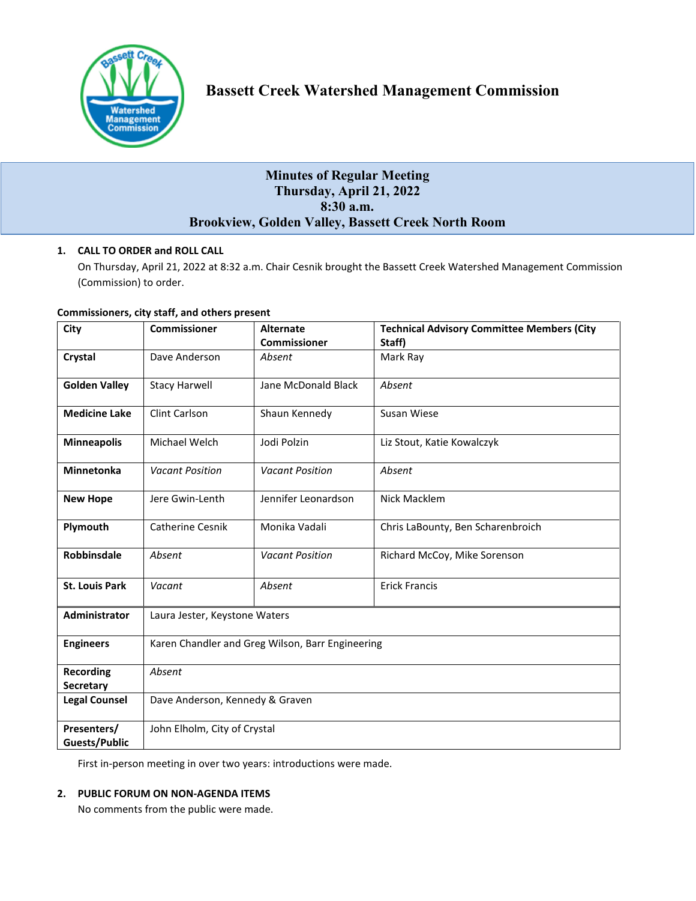

# **Minutes of Regular Meeting Thursday, April 21, 2022 8:30 a.m. Brookview, Golden Valley, Bassett Creek North Room**

## **1. CALL TO ORDER and ROLL CALL**

On Thursday, April 21, 2022 at 8:32 a.m. Chair Cesnik brought the Bassett Creek Watershed Management Commission (Commission) to order.

#### **Commissioners, city staff, and others present**

| City                          | <b>Commissioner</b>                              | <b>Alternate</b>       | <b>Technical Advisory Committee Members (City</b> |
|-------------------------------|--------------------------------------------------|------------------------|---------------------------------------------------|
|                               |                                                  | <b>Commissioner</b>    | Staff)                                            |
| Crystal                       | Dave Anderson                                    | Absent                 | Mark Ray                                          |
| <b>Golden Valley</b>          | <b>Stacy Harwell</b>                             | Jane McDonald Black    | Absent                                            |
| <b>Medicine Lake</b>          | Clint Carlson                                    | Shaun Kennedy          | Susan Wiese                                       |
| <b>Minneapolis</b>            | Michael Welch                                    | Jodi Polzin            | Liz Stout, Katie Kowalczyk                        |
| <b>Minnetonka</b>             | <b>Vacant Position</b>                           | <b>Vacant Position</b> | Absent                                            |
| <b>New Hope</b>               | Jere Gwin-Lenth                                  | Jennifer Leonardson    | Nick Macklem                                      |
| Plymouth                      | <b>Catherine Cesnik</b>                          | Monika Vadali          | Chris LaBounty, Ben Scharenbroich                 |
| Robbinsdale                   | Absent                                           | <b>Vacant Position</b> | Richard McCoy, Mike Sorenson                      |
| <b>St. Louis Park</b>         | Vacant                                           | Absent                 | <b>Erick Francis</b>                              |
| <b>Administrator</b>          | Laura Jester, Keystone Waters                    |                        |                                                   |
| <b>Engineers</b>              | Karen Chandler and Greg Wilson, Barr Engineering |                        |                                                   |
| <b>Recording</b><br>Secretary | Absent                                           |                        |                                                   |
| <b>Legal Counsel</b>          | Dave Anderson, Kennedy & Graven                  |                        |                                                   |
| Presenters/                   | John Elholm, City of Crystal                     |                        |                                                   |
| <b>Guests/Public</b>          |                                                  |                        |                                                   |

First in-person meeting in over two years: introductions were made.

### **2. PUBLIC FORUM ON NON-AGENDA ITEMS**

No comments from the public were made.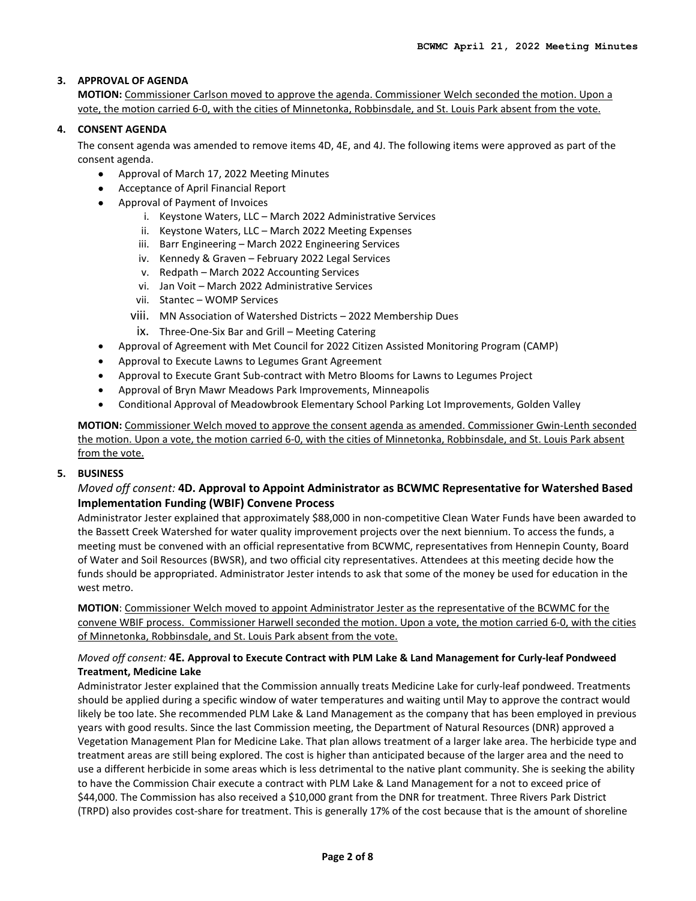## **3. APPROVAL OF AGENDA**

**MOTION:** Commissioner Carlson moved to approve the agenda. Commissioner Welch seconded the motion. Upon a vote, the motion carried 6-0, with the cities of Minnetonka, Robbinsdale, and St. Louis Park absent from the vote.

### **4. CONSENT AGENDA**

The consent agenda was amended to remove items 4D, 4E, and 4J. The following items were approved as part of the consent agenda.

- Approval of March 17, 2022 Meeting Minutes
- Acceptance of April Financial Report
- Approval of Payment of Invoices
	- i. Keystone Waters, LLC March 2022 Administrative Services
	- ii. Keystone Waters, LLC March 2022 Meeting Expenses
	- iii. Barr Engineering March 2022 Engineering Services
	- iv. Kennedy & Graven February 2022 Legal Services
	- v. Redpath March 2022 Accounting Services
	- vi. Jan Voit March 2022 Administrative Services
	- vii. Stantec WOMP Services
	- viii. MN Association of Watershed Districts 2022 Membership Dues
	- ix. Three-One-Six Bar and Grill Meeting Catering
- Approval of Agreement with Met Council for 2022 Citizen Assisted Monitoring Program (CAMP)
- Approval to Execute Lawns to Legumes Grant Agreement
- Approval to Execute Grant Sub-contract with Metro Blooms for Lawns to Legumes Project
- Approval of Bryn Mawr Meadows Park Improvements, Minneapolis
- Conditional Approval of Meadowbrook Elementary School Parking Lot Improvements, Golden Valley

**MOTION:** Commissioner Welch moved to approve the consent agenda as amended. Commissioner Gwin-Lenth seconded the motion. Upon a vote, the motion carried 6-0, with the cities of Minnetonka, Robbinsdale, and St. Louis Park absent from the vote.

### **5. BUSINESS**

## *Moved off consent:* **4D. Approval to Appoint Administrator as BCWMC Representative for Watershed Based Implementation Funding (WBIF) Convene Process**

Administrator Jester explained that approximately \$88,000 in non-competitive Clean Water Funds have been awarded to the Bassett Creek Watershed for water quality improvement projects over the next biennium. To access the funds, a meeting must be convened with an official representative from BCWMC, representatives from Hennepin County, Board of Water and Soil Resources (BWSR), and two official city representatives. Attendees at this meeting decide how the funds should be appropriated. Administrator Jester intends to ask that some of the money be used for education in the west metro.

**MOTION**: Commissioner Welch moved to appoint Administrator Jester as the representative of the BCWMC for the convene WBIF process. Commissioner Harwell seconded the motion. Upon a vote, the motion carried 6-0, with the cities of Minnetonka, Robbinsdale, and St. Louis Park absent from the vote.

### *Moved off consent:* **4E. Approval to Execute Contract with PLM Lake & Land Management for Curly-leaf Pondweed Treatment, Medicine Lake**

Administrator Jester explained that the Commission annually treats Medicine Lake for curly-leaf pondweed. Treatments should be applied during a specific window of water temperatures and waiting until May to approve the contract would likely be too late. She recommended PLM Lake & Land Management as the company that has been employed in previous years with good results. Since the last Commission meeting, the Department of Natural Resources (DNR) approved a Vegetation Management Plan for Medicine Lake. That plan allows treatment of a larger lake area. The herbicide type and treatment areas are still being explored. The cost is higher than anticipated because of the larger area and the need to use a different herbicide in some areas which is less detrimental to the native plant community. She is seeking the ability to have the Commission Chair execute a contract with PLM Lake & Land Management for a not to exceed price of \$44,000. The Commission has also received a \$10,000 grant from the DNR for treatment. Three Rivers Park District (TRPD) also provides cost-share for treatment. This is generally 17% of the cost because that is the amount of shoreline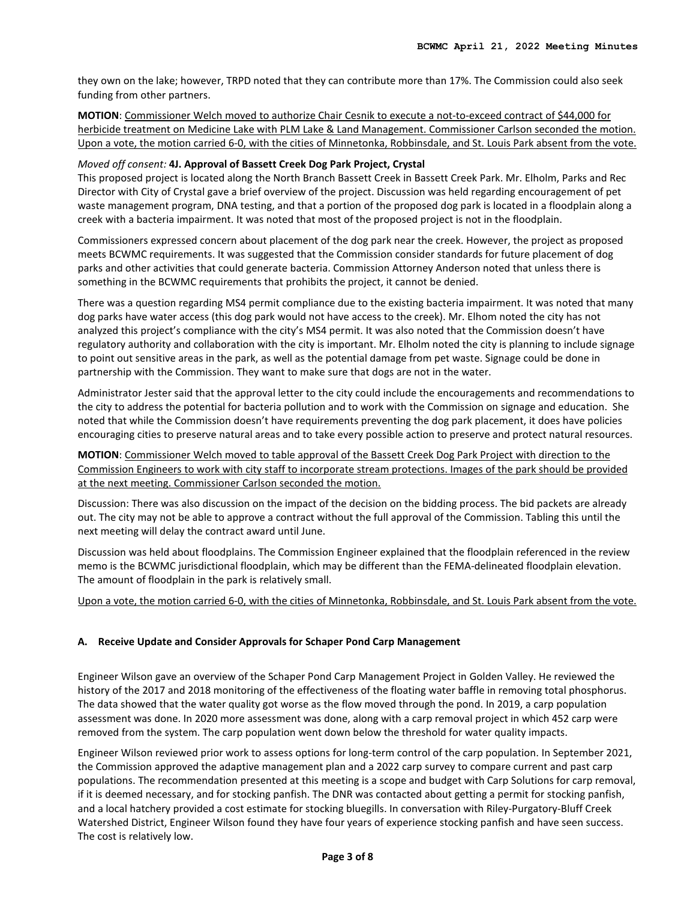they own on the lake; however, TRPD noted that they can contribute more than 17%. The Commission could also seek funding from other partners.

**MOTION**: Commissioner Welch moved to authorize Chair Cesnik to execute a not-to-exceed contract of \$44,000 for herbicide treatment on Medicine Lake with PLM Lake & Land Management. Commissioner Carlson seconded the motion. Upon a vote, the motion carried 6-0, with the cities of Minnetonka, Robbinsdale, and St. Louis Park absent from the vote.

#### *Moved off consent:* **4J. Approval of Bassett Creek Dog Park Project, Crystal**

This proposed project is located along the North Branch Bassett Creek in Bassett Creek Park. Mr. Elholm, Parks and Rec Director with City of Crystal gave a brief overview of the project. Discussion was held regarding encouragement of pet waste management program, DNA testing, and that a portion of the proposed dog park is located in a floodplain along a creek with a bacteria impairment. It was noted that most of the proposed project is not in the floodplain.

Commissioners expressed concern about placement of the dog park near the creek. However, the project as proposed meets BCWMC requirements. It was suggested that the Commission consider standards for future placement of dog parks and other activities that could generate bacteria. Commission Attorney Anderson noted that unless there is something in the BCWMC requirements that prohibits the project, it cannot be denied.

There was a question regarding MS4 permit compliance due to the existing bacteria impairment. It was noted that many dog parks have water access (this dog park would not have access to the creek). Mr. Elhom noted the city has not analyzed this project's compliance with the city's MS4 permit. It was also noted that the Commission doesn't have regulatory authority and collaboration with the city is important. Mr. Elholm noted the city is planning to include signage to point out sensitive areas in the park, as well as the potential damage from pet waste. Signage could be done in partnership with the Commission. They want to make sure that dogs are not in the water.

Administrator Jester said that the approval letter to the city could include the encouragements and recommendations to the city to address the potential for bacteria pollution and to work with the Commission on signage and education. She noted that while the Commission doesn't have requirements preventing the dog park placement, it does have policies encouraging cities to preserve natural areas and to take every possible action to preserve and protect natural resources.

**MOTION**: Commissioner Welch moved to table approval of the Bassett Creek Dog Park Project with direction to the Commission Engineers to work with city staff to incorporate stream protections. Images of the park should be provided at the next meeting. Commissioner Carlson seconded the motion.

Discussion: There was also discussion on the impact of the decision on the bidding process. The bid packets are already out. The city may not be able to approve a contract without the full approval of the Commission. Tabling this until the next meeting will delay the contract award until June.

Discussion was held about floodplains. The Commission Engineer explained that the floodplain referenced in the review memo is the BCWMC jurisdictional floodplain, which may be different than the FEMA-delineated floodplain elevation. The amount of floodplain in the park is relatively small.

### Upon a vote, the motion carried 6-0, with the cities of Minnetonka, Robbinsdale, and St. Louis Park absent from the vote.

### **A. Receive Update and Consider Approvals for Schaper Pond Carp Management**

Engineer Wilson gave an overview of the Schaper Pond Carp Management Project in Golden Valley. He reviewed the history of the 2017 and 2018 monitoring of the effectiveness of the floating water baffle in removing total phosphorus. The data showed that the water quality got worse as the flow moved through the pond. In 2019, a carp population assessment was done. In 2020 more assessment was done, along with a carp removal project in which 452 carp were removed from the system. The carp population went down below the threshold for water quality impacts.

Engineer Wilson reviewed prior work to assess options for long-term control of the carp population. In September 2021, the Commission approved the adaptive management plan and a 2022 carp survey to compare current and past carp populations. The recommendation presented at this meeting is a scope and budget with Carp Solutions for carp removal, if it is deemed necessary, and for stocking panfish. The DNR was contacted about getting a permit for stocking panfish, and a local hatchery provided a cost estimate for stocking bluegills. In conversation with Riley-Purgatory-Bluff Creek Watershed District, Engineer Wilson found they have four years of experience stocking panfish and have seen success. The cost is relatively low.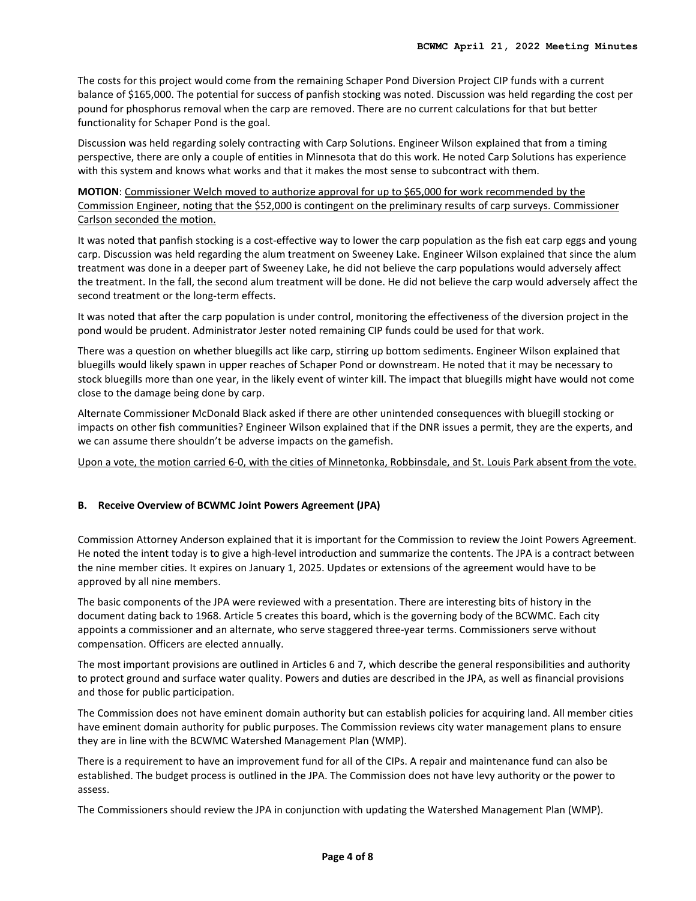The costs for this project would come from the remaining Schaper Pond Diversion Project CIP funds with a current balance of \$165,000. The potential for success of panfish stocking was noted. Discussion was held regarding the cost per pound for phosphorus removal when the carp are removed. There are no current calculations for that but better functionality for Schaper Pond is the goal.

Discussion was held regarding solely contracting with Carp Solutions. Engineer Wilson explained that from a timing perspective, there are only a couple of entities in Minnesota that do this work. He noted Carp Solutions has experience with this system and knows what works and that it makes the most sense to subcontract with them.

**MOTION**: Commissioner Welch moved to authorize approval for up to \$65,000 for work recommended by the Commission Engineer, noting that the \$52,000 is contingent on the preliminary results of carp surveys. Commissioner Carlson seconded the motion.

It was noted that panfish stocking is a cost-effective way to lower the carp population as the fish eat carp eggs and young carp. Discussion was held regarding the alum treatment on Sweeney Lake. Engineer Wilson explained that since the alum treatment was done in a deeper part of Sweeney Lake, he did not believe the carp populations would adversely affect the treatment. In the fall, the second alum treatment will be done. He did not believe the carp would adversely affect the second treatment or the long-term effects.

It was noted that after the carp population is under control, monitoring the effectiveness of the diversion project in the pond would be prudent. Administrator Jester noted remaining CIP funds could be used for that work.

There was a question on whether bluegills act like carp, stirring up bottom sediments. Engineer Wilson explained that bluegills would likely spawn in upper reaches of Schaper Pond or downstream. He noted that it may be necessary to stock bluegills more than one year, in the likely event of winter kill. The impact that bluegills might have would not come close to the damage being done by carp.

Alternate Commissioner McDonald Black asked if there are other unintended consequences with bluegill stocking or impacts on other fish communities? Engineer Wilson explained that if the DNR issues a permit, they are the experts, and we can assume there shouldn't be adverse impacts on the gamefish.

Upon a vote, the motion carried 6-0, with the cities of Minnetonka, Robbinsdale, and St. Louis Park absent from the vote.

### **B. Receive Overview of BCWMC Joint Powers Agreement (JPA)**

Commission Attorney Anderson explained that it is important for the Commission to review the Joint Powers Agreement. He noted the intent today is to give a high-level introduction and summarize the contents. The JPA is a contract between the nine member cities. It expires on January 1, 2025. Updates or extensions of the agreement would have to be approved by all nine members.

The basic components of the JPA were reviewed with a presentation. There are interesting bits of history in the document dating back to 1968. Article 5 creates this board, which is the governing body of the BCWMC. Each city appoints a commissioner and an alternate, who serve staggered three-year terms. Commissioners serve without compensation. Officers are elected annually.

The most important provisions are outlined in Articles 6 and 7, which describe the general responsibilities and authority to protect ground and surface water quality. Powers and duties are described in the JPA, as well as financial provisions and those for public participation.

The Commission does not have eminent domain authority but can establish policies for acquiring land. All member cities have eminent domain authority for public purposes. The Commission reviews city water management plans to ensure they are in line with the BCWMC Watershed Management Plan (WMP).

There is a requirement to have an improvement fund for all of the CIPs. A repair and maintenance fund can also be established. The budget process is outlined in the JPA. The Commission does not have levy authority or the power to assess.

The Commissioners should review the JPA in conjunction with updating the Watershed Management Plan (WMP).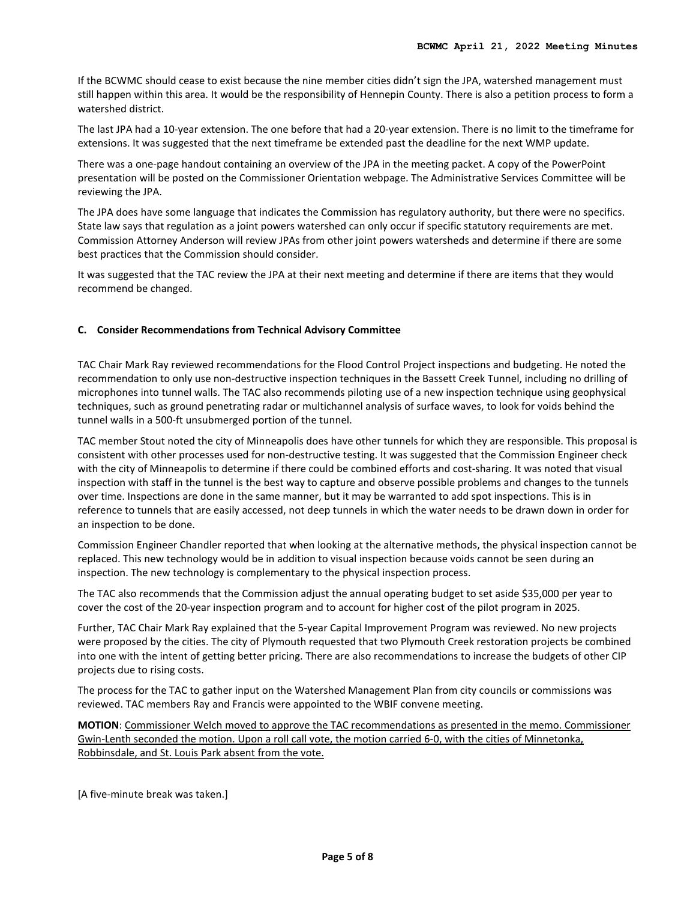If the BCWMC should cease to exist because the nine member cities didn't sign the JPA, watershed management must still happen within this area. It would be the responsibility of Hennepin County. There is also a petition process to form a watershed district.

The last JPA had a 10-year extension. The one before that had a 20-year extension. There is no limit to the timeframe for extensions. It was suggested that the next timeframe be extended past the deadline for the next WMP update.

There was a one-page handout containing an overview of the JPA in the meeting packet. A copy of the PowerPoint presentation will be posted on the Commissioner Orientation webpage. The Administrative Services Committee will be reviewing the JPA.

The JPA does have some language that indicates the Commission has regulatory authority, but there were no specifics. State law says that regulation as a joint powers watershed can only occur if specific statutory requirements are met. Commission Attorney Anderson will review JPAs from other joint powers watersheds and determine if there are some best practices that the Commission should consider.

It was suggested that the TAC review the JPA at their next meeting and determine if there are items that they would recommend be changed.

### **C. Consider Recommendations from Technical Advisory Committee**

TAC Chair Mark Ray reviewed recommendations for the Flood Control Project inspections and budgeting. He noted the recommendation to only use non-destructive inspection techniques in the Bassett Creek Tunnel, including no drilling of microphones into tunnel walls. The TAC also recommends piloting use of a new inspection technique using geophysical techniques, such as ground penetrating radar or multichannel analysis of surface waves, to look for voids behind the tunnel walls in a 500-ft unsubmerged portion of the tunnel.

TAC member Stout noted the city of Minneapolis does have other tunnels for which they are responsible. This proposal is consistent with other processes used for non-destructive testing. It was suggested that the Commission Engineer check with the city of Minneapolis to determine if there could be combined efforts and cost-sharing. It was noted that visual inspection with staff in the tunnel is the best way to capture and observe possible problems and changes to the tunnels over time. Inspections are done in the same manner, but it may be warranted to add spot inspections. This is in reference to tunnels that are easily accessed, not deep tunnels in which the water needs to be drawn down in order for an inspection to be done.

Commission Engineer Chandler reported that when looking at the alternative methods, the physical inspection cannot be replaced. This new technology would be in addition to visual inspection because voids cannot be seen during an inspection. The new technology is complementary to the physical inspection process.

The TAC also recommends that the Commission adjust the annual operating budget to set aside \$35,000 per year to cover the cost of the 20-year inspection program and to account for higher cost of the pilot program in 2025.

Further, TAC Chair Mark Ray explained that the 5-year Capital Improvement Program was reviewed. No new projects were proposed by the cities. The city of Plymouth requested that two Plymouth Creek restoration projects be combined into one with the intent of getting better pricing. There are also recommendations to increase the budgets of other CIP projects due to rising costs.

The process for the TAC to gather input on the Watershed Management Plan from city councils or commissions was reviewed. TAC members Ray and Francis were appointed to the WBIF convene meeting.

**MOTION**: Commissioner Welch moved to approve the TAC recommendations as presented in the memo. Commissioner Gwin-Lenth seconded the motion. Upon a roll call vote, the motion carried 6-0, with the cities of Minnetonka, Robbinsdale, and St. Louis Park absent from the vote.

[A five-minute break was taken.]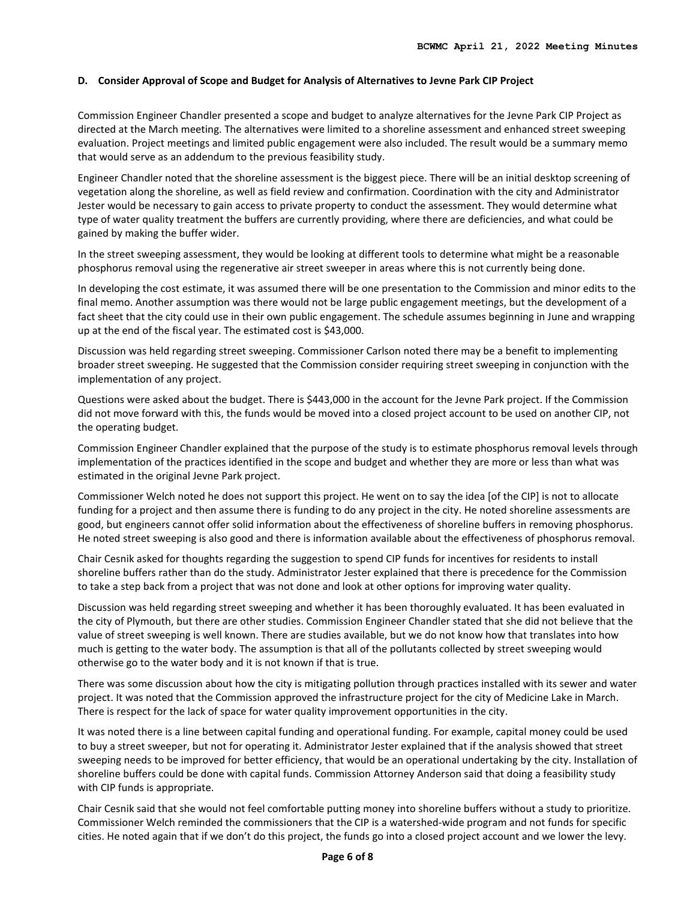#### **D. Consider Approval of Scope and Budget for Analysis of Alternatives to Jevne Park CIP Project**

Commission Engineer Chandler presented a scope and budget to analyze alternatives for the Jevne Park CIP Project as directed at the March meeting. The alternatives were limited to a shoreline assessment and enhanced street sweeping evaluation. Project meetings and limited public engagement were also included. The result would be a summary memo that would serve as an addendum to the previous feasibility study.

Engineer Chandler noted that the shoreline assessment is the biggest piece. There will be an initial desktop screening of vegetation along the shoreline, as well as field review and confirmation. Coordination with the city and Administrator Jester would be necessary to gain access to private property to conduct the assessment. They would determine what type of water quality treatment the buffers are currently providing, where there are deficiencies, and what could be gained by making the buffer wider.

In the street sweeping assessment, they would be looking at different tools to determine what might be a reasonable phosphorus removal using the regenerative air street sweeper in areas where this is not currently being done.

In developing the cost estimate, it was assumed there will be one presentation to the Commission and minor edits to the final memo. Another assumption was there would not be large public engagement meetings, but the development of a fact sheet that the city could use in their own public engagement. The schedule assumes beginning in June and wrapping up at the end of the fiscal year. The estimated cost is \$43,000.

Discussion was held regarding street sweeping. Commissioner Carlson noted there may be a benefit to implementing broader street sweeping. He suggested that the Commission consider requiring street sweeping in conjunction with the implementation of any project.

Questions were asked about the budget. There is \$443,000 in the account for the Jevne Park project. If the Commission did not move forward with this, the funds would be moved into a closed project account to be used on another CIP, not the operating budget.

Commission Engineer Chandler explained that the purpose of the study is to estimate phosphorus removal levels through implementation of the practices identified in the scope and budget and whether they are more or less than what was estimated in the original Jevne Park project.

Commissioner Welch noted he does not support this project. He went on to say the idea [of the CIP] is not to allocate funding for a project and then assume there is funding to do any project in the city. He noted shoreline assessments are good, but engineers cannot offer solid information about the effectiveness of shoreline buffers in removing phosphorus. He noted street sweeping is also good and there is information available about the effectiveness of phosphorus removal.

Chair Cesnik asked for thoughts regarding the suggestion to spend CIP funds for incentives for residents to install shoreline buffers rather than do the study. Administrator Jester explained that there is precedence for the Commission to take a step back from a project that was not done and look at other options for improving water quality.

Discussion was held regarding street sweeping and whether it has been thoroughly evaluated. It has been evaluated in the city of Plymouth, but there are other studies. Commission Engineer Chandler stated that she did not believe that the value of street sweeping is well known. There are studies available, but we do not know how that translates into how much is getting to the water body. The assumption is that all of the pollutants collected by street sweeping would otherwise go to the water body and it is not known if that is true.

There was some discussion about how the city is mitigating pollution through practices installed with its sewer and water project. It was noted that the Commission approved the infrastructure project for the city of Medicine Lake in March. There is respect for the lack of space for water quality improvement opportunities in the city.

It was noted there is a line between capital funding and operational funding. For example, capital money could be used to buy a street sweeper, but not for operating it. Administrator Jester explained that if the analysis showed that street sweeping needs to be improved for better efficiency, that would be an operational undertaking by the city. Installation of shoreline buffers could be done with capital funds. Commission Attorney Anderson said that doing a feasibility study with CIP funds is appropriate.

Chair Cesnik said that she would not feel comfortable putting money into shoreline buffers without a study to prioritize. Commissioner Welch reminded the commissioners that the CIP is a watershed-wide program and not funds for specific cities. He noted again that if we don't do this project, the funds go into a closed project account and we lower the levy.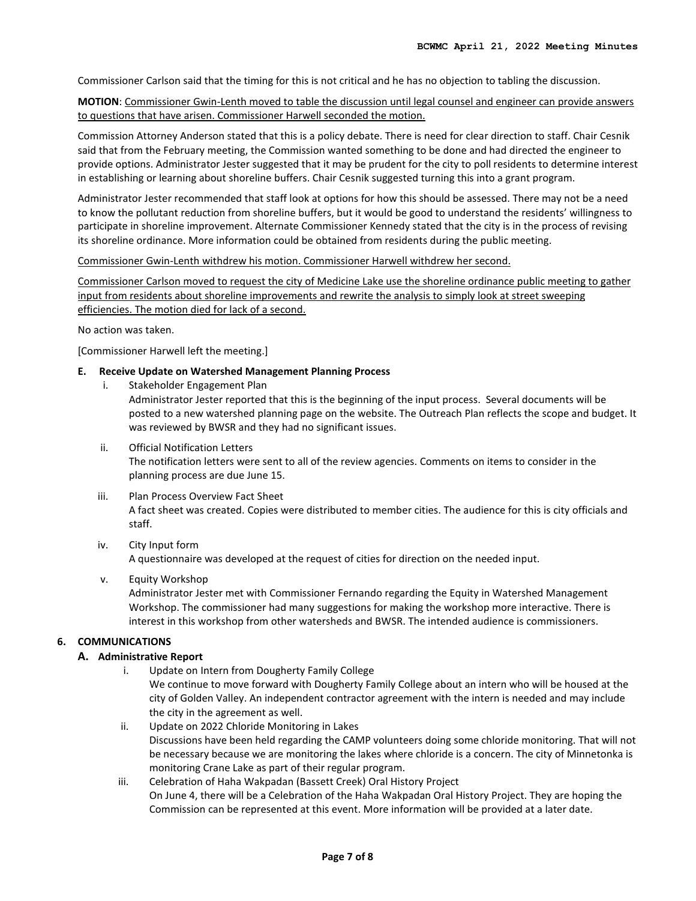Commissioner Carlson said that the timing for this is not critical and he has no objection to tabling the discussion.

**MOTION**: Commissioner Gwin-Lenth moved to table the discussion until legal counsel and engineer can provide answers to questions that have arisen. Commissioner Harwell seconded the motion.

Commission Attorney Anderson stated that this is a policy debate. There is need for clear direction to staff. Chair Cesnik said that from the February meeting, the Commission wanted something to be done and had directed the engineer to provide options. Administrator Jester suggested that it may be prudent for the city to poll residents to determine interest in establishing or learning about shoreline buffers. Chair Cesnik suggested turning this into a grant program.

Administrator Jester recommended that staff look at options for how this should be assessed. There may not be a need to know the pollutant reduction from shoreline buffers, but it would be good to understand the residents' willingness to participate in shoreline improvement. Alternate Commissioner Kennedy stated that the city is in the process of revising its shoreline ordinance. More information could be obtained from residents during the public meeting.

Commissioner Gwin-Lenth withdrew his motion. Commissioner Harwell withdrew her second.

Commissioner Carlson moved to request the city of Medicine Lake use the shoreline ordinance public meeting to gather input from residents about shoreline improvements and rewrite the analysis to simply look at street sweeping efficiencies. The motion died for lack of a second.

No action was taken.

[Commissioner Harwell left the meeting.]

### **E. Receive Update on Watershed Management Planning Process**

i. Stakeholder Engagement Plan

Administrator Jester reported that this is the beginning of the input process. Several documents will be posted to a new watershed planning page on the website. The Outreach Plan reflects the scope and budget. It was reviewed by BWSR and they had no significant issues.

- ii. Official Notification Letters The notification letters were sent to all of the review agencies. Comments on items to consider in the planning process are due June 15.
- iii. Plan Process Overview Fact Sheet

A fact sheet was created. Copies were distributed to member cities. The audience for this is city officials and staff.

#### iv. City Input form A questionnaire was developed at the request of cities for direction on the needed input.

v. Equity Workshop

Administrator Jester met with Commissioner Fernando regarding the Equity in Watershed Management Workshop. The commissioner had many suggestions for making the workshop more interactive. There is interest in this workshop from other watersheds and BWSR. The intended audience is commissioners.

### **6. COMMUNICATIONS**

## **A. Administrative Report**

- i. Update on Intern from Dougherty Family College We continue to move forward with Dougherty Family College about an intern who will be housed at the city of Golden Valley. An independent contractor agreement with the intern is needed and may include the city in the agreement as well.
- ii. Update on 2022 Chloride Monitoring in Lakes Discussions have been held regarding the CAMP volunteers doing some chloride monitoring. That will not be necessary because we are monitoring the lakes where chloride is a concern. The city of Minnetonka is monitoring Crane Lake as part of their regular program.
- iii. Celebration of Haha Wakpadan (Bassett Creek) Oral History Project On June 4, there will be a Celebration of the Haha Wakpadan Oral History Project. They are hoping the Commission can be represented at this event. More information will be provided at a later date.